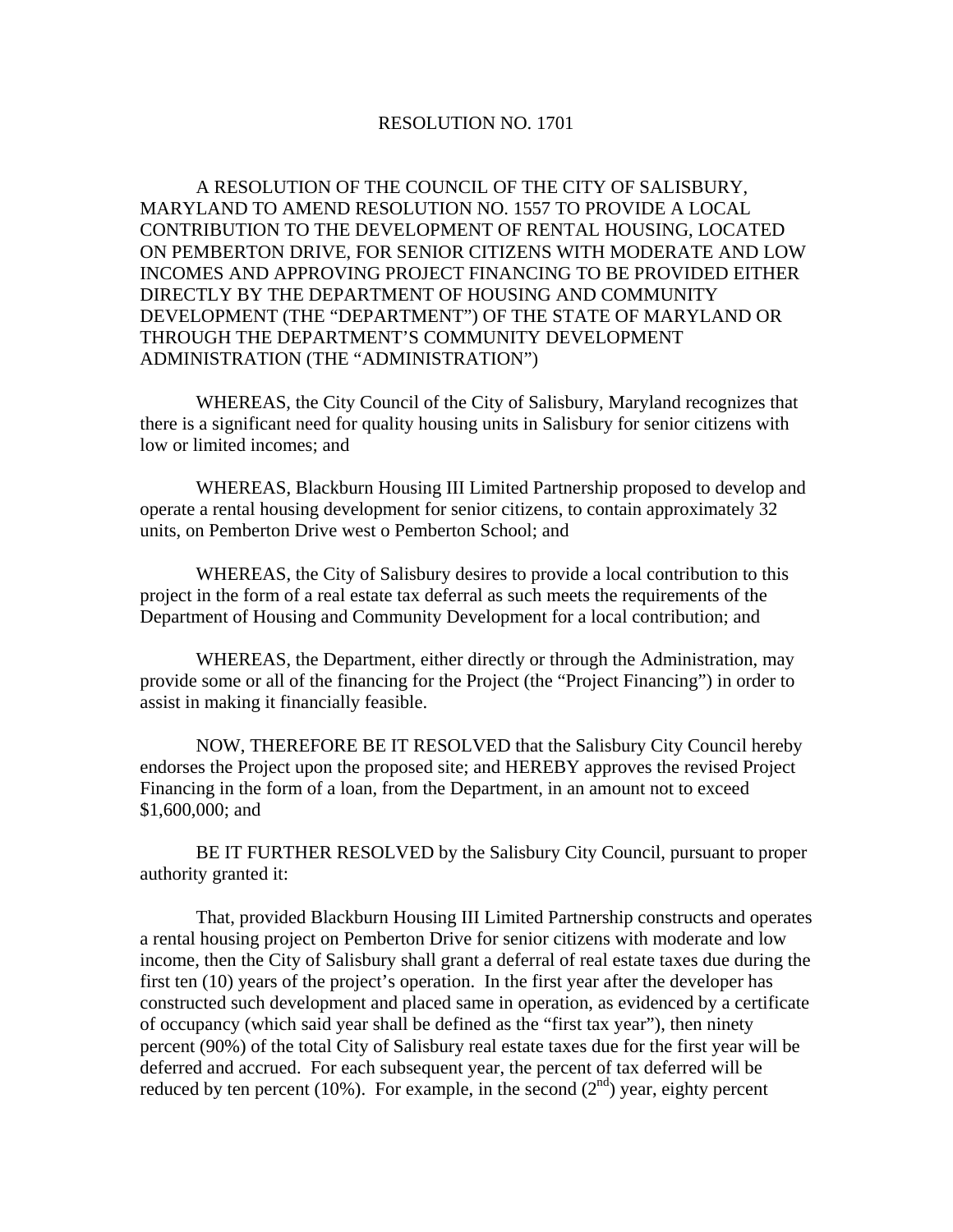## RESOLUTION NO. 1701

 A RESOLUTION OF THE COUNCIL OF THE CITY OF SALISBURY, MARYLAND TO AMEND RESOLUTION NO. 1557 TO PROVIDE A LOCAL CONTRIBUTION TO THE DEVELOPMENT OF RENTAL HOUSING, LOCATED ON PEMBERTON DRIVE, FOR SENIOR CITIZENS WITH MODERATE AND LOW INCOMES AND APPROVING PROJECT FINANCING TO BE PROVIDED EITHER DIRECTLY BY THE DEPARTMENT OF HOUSING AND COMMUNITY DEVELOPMENT (THE "DEPARTMENT") OF THE STATE OF MARYLAND OR THROUGH THE DEPARTMENT'S COMMUNITY DEVELOPMENT ADMINISTRATION (THE "ADMINISTRATION")

 WHEREAS, the City Council of the City of Salisbury, Maryland recognizes that there is a significant need for quality housing units in Salisbury for senior citizens with low or limited incomes; and

 WHEREAS, Blackburn Housing III Limited Partnership proposed to develop and operate a rental housing development for senior citizens, to contain approximately 32 units, on Pemberton Drive west o Pemberton School; and

 WHEREAS, the City of Salisbury desires to provide a local contribution to this project in the form of a real estate tax deferral as such meets the requirements of the Department of Housing and Community Development for a local contribution; and

 WHEREAS, the Department, either directly or through the Administration, may provide some or all of the financing for the Project (the "Project Financing") in order to assist in making it financially feasible.

 NOW, THEREFORE BE IT RESOLVED that the Salisbury City Council hereby endorses the Project upon the proposed site; and HEREBY approves the revised Project Financing in the form of a loan, from the Department, in an amount not to exceed \$1,600,000; and

 BE IT FURTHER RESOLVED by the Salisbury City Council, pursuant to proper authority granted it:

 That, provided Blackburn Housing III Limited Partnership constructs and operates a rental housing project on Pemberton Drive for senior citizens with moderate and low income, then the City of Salisbury shall grant a deferral of real estate taxes due during the first ten (10) years of the project's operation. In the first year after the developer has constructed such development and placed same in operation, as evidenced by a certificate of occupancy (which said year shall be defined as the "first tax year"), then ninety percent (90%) of the total City of Salisbury real estate taxes due for the first year will be deferred and accrued. For each subsequent year, the percent of tax deferred will be reduced by ten percent (10%). For example, in the second  $(2<sup>nd</sup>)$  year, eighty percent